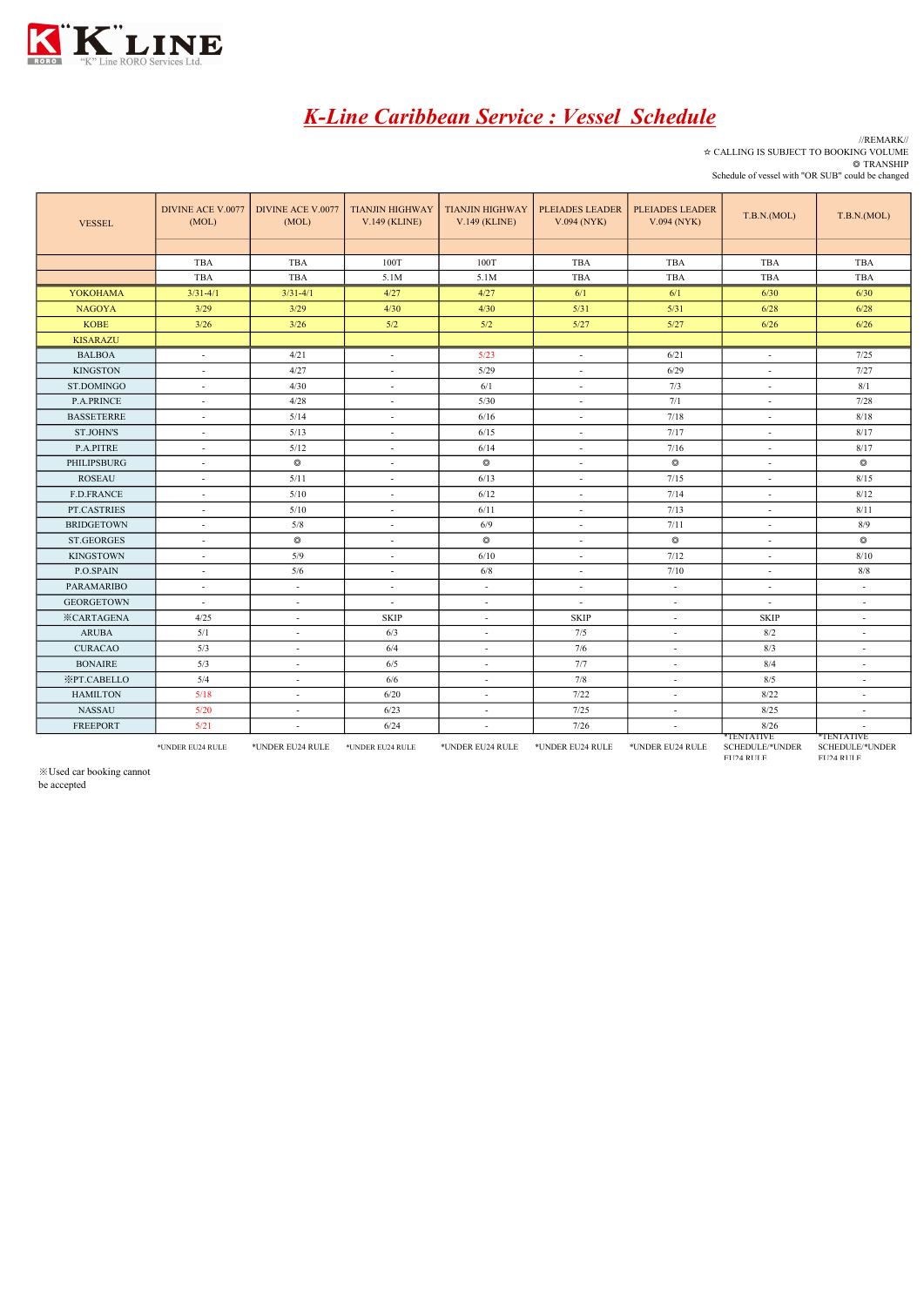

## K-Line Caribbean Service : Vessel Schedule

//REMARK// ☆ CALLING IS SUBJECT TO BOOKING VOLUME ◎ TRANSHIP

Schedule of vessel with "OR SUB" could be changed TBA | TBA | 100T | 100T | TBA | TBA | TBA | TBA TBA | TBA | 5.1M | 5.1M | TBA | TBA | TBA | TBA YOKOHAMA 3/31-4/1 3/31-4/1 4/27 4/27 6/1 6/1 6/30 6/30 NAGOYA | 3/29 | 3/29 | 4/30 | 4/30 | 5/31 | 5/31 | 6/28 | 6/28 **KOBE | 3/26 | 3/26 | 5/2 | 5/2 | 5/27 | 5/27 | 6/26 | 6/26 KISARAZU** BALBOA - 4/21 - 5/23 - 6/21 - 7/25 KINGSTON | - | 4/27 | - | 5/29 | - | 6/29 | - | 7/27 ST.DOMINGO |  $\cdot$  |  $4/30$  |  $\cdot$  |  $6/1$  |  $\cdot$  |  $7/3$  |  $\cdot$  |  $8/1$ P.A.PRINCE - 4/28 4/28 - 5/30 - 7/1 7/1 - 7/28 BASSETERRE | - | 5/14 | - | 6/16 | - | 7/18 | - | 8/18 ST.JOHN'S | - | 5/13 | - | 6/15 | - | 7/17 | - | 8/17 P.A.PITRE | - | 5/12 | - | 6/14 | - | 7/16 | - | 8/17 PHILIPSBURG | - | © | - | © | - | © | - | © ROSEAU | - | 5/11 | - | 6/13 | - | 7/15 | - | 8/15 F.D.FRANCE | - | 5/10 | - | 6/12 | - | 7/14 | - | 8/12 PT.CASTRIES - 5/10 5/10 - 6/11 - 7/13 7/13 - 8/11 BRIDGETOWN | - | 5/8 | - | 6/9 | - | 7/11 | - | 8/9 ST.GEORGES - ◎ - ◎ - ◎ - ◎ KINGSTOWN - 5/9 - 6/10 - 7/12 - 8/10 P.O.SPAIN - 5/6 - 6/8 - 6/8 - 7/10 - 8/8 PARAMARIBO - - - - - - - - GEORGETOWN - - - - - - - -  $\overline{\text{KCRTAGENA}}$  4/25  $\overline{\text{SKIP}}$  SKIP - SKIP SKIP - SKIP SKIP ARUBA 5/1 - 6/3 - 7/5 - 8/2 -CURACAO | 5/3 | - | 6/4 | - | 7/6 | - | 8/3 | -BONAIRE | 5/3 | - | 6/5 | - | 7/7 | - | 8/4 | -※PT.CABELLO 5/4 - 6/6 - 7/8 - 8/5 - 8/5 HAMILTON 5/18 - 6/20 - 7/22 - 8/22 - 8/22 VESSEL TIANJIN HIGHWAY V.149 (KLINE) DIVINE ACE V.0077<br>(MOL) E ACE V.0077 DIVINE ACE V.0077 TIANJIN HIGHWAY | TIANJIN HIGHWAY | PLEIADES LEADER | PLEIADES LEADER | T.B.N.(MOL) (MOL) [ T.B.N.(MOL) [ T.B.N.(MOL) [ T.B.N.(MOL) ] [ T.B.N.(MOL) ] [ T.B.N.(MOL) ] [ T.B.N.(MOL) ] [ T.B.N.( V.094 (NYK) DIVINE ACE V.0077 (MOL) PLEIADES LEADER V.094 (NYK) TIANJIN HIGHWAY V.149 (KLINE)

\*UNDER EU24 RULE \*UNDER EU24 RULE \*UNDER EU24 RULE \*UNDER EU24 RULE \*UNDER EU24 RULE \*UNDER EU24 RULE TENTATIVE SCHEDULE/\*UNDER EU24 RULE \*TENTATIVE SCHEDULE/\*UNDER EU24 RULE

NASSAU 5/20 - 6/23 - 7/25 - 8/25 -FREEPORT 5/21 - 6/24 - 7/26 - 8/26 - 8/26

※Used car booking cannot

be accepted